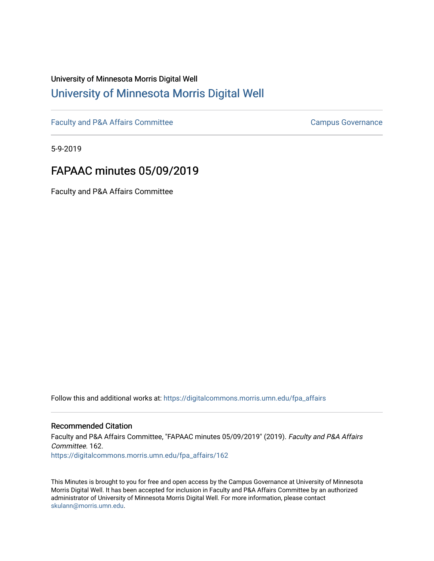## University of Minnesota Morris Digital Well [University of Minnesota Morris Digital Well](https://digitalcommons.morris.umn.edu/)

[Faculty and P&A Affairs Committee](https://digitalcommons.morris.umn.edu/fpa_affairs) [Campus Governance](https://digitalcommons.morris.umn.edu/campgov) Campus Governance

5-9-2019

# FAPAAC minutes 05/09/2019

Faculty and P&A Affairs Committee

Follow this and additional works at: [https://digitalcommons.morris.umn.edu/fpa\\_affairs](https://digitalcommons.morris.umn.edu/fpa_affairs?utm_source=digitalcommons.morris.umn.edu%2Ffpa_affairs%2F162&utm_medium=PDF&utm_campaign=PDFCoverPages)

#### Recommended Citation

Faculty and P&A Affairs Committee, "FAPAAC minutes 05/09/2019" (2019). Faculty and P&A Affairs Committee. 162. [https://digitalcommons.morris.umn.edu/fpa\\_affairs/162](https://digitalcommons.morris.umn.edu/fpa_affairs/162?utm_source=digitalcommons.morris.umn.edu%2Ffpa_affairs%2F162&utm_medium=PDF&utm_campaign=PDFCoverPages)

This Minutes is brought to you for free and open access by the Campus Governance at University of Minnesota Morris Digital Well. It has been accepted for inclusion in Faculty and P&A Affairs Committee by an authorized administrator of University of Minnesota Morris Digital Well. For more information, please contact [skulann@morris.umn.edu.](mailto:skulann@morris.umn.edu)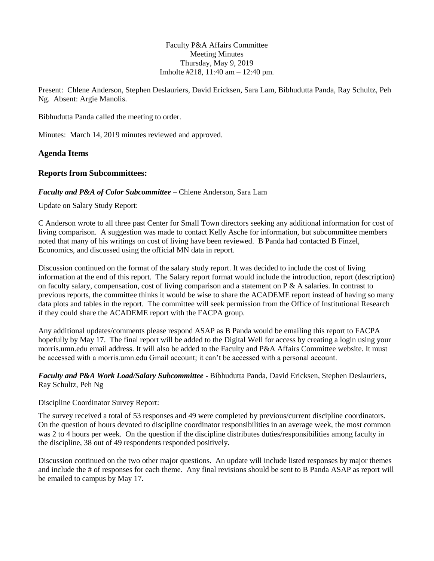Faculty P&A Affairs Committee Meeting Minutes Thursday, May 9, 2019 Imholte #218, 11:40 am – 12:40 pm.

Present: Chlene Anderson, Stephen Deslauriers, David Ericksen, Sara Lam, Bibhudutta Panda, Ray Schultz, Peh Ng. Absent: Argie Manolis.

Bibhudutta Panda called the meeting to order.

Minutes: March 14, 2019 minutes reviewed and approved.

#### **Agenda Items**

#### **Reports from Subcommittees:**

#### *Faculty and P&A of Color Subcommittee* **–** Chlene Anderson, Sara Lam

Update on Salary Study Report:

C Anderson wrote to all three past Center for Small Town directors seeking any additional information for cost of living comparison. A suggestion was made to contact Kelly Asche for information, but subcommittee members noted that many of his writings on cost of living have been reviewed. B Panda had contacted B Finzel, Economics, and discussed using the official MN data in report.

Discussion continued on the format of the salary study report. It was decided to include the cost of living information at the end of this report. The Salary report format would include the introduction, report (description) on faculty salary, compensation, cost of living comparison and a statement on  $P \& A$  salaries. In contrast to previous reports, the committee thinks it would be wise to share the ACADEME report instead of having so many data plots and tables in the report. The committee will seek permission from the Office of Institutional Research if they could share the ACADEME report with the FACPA group.

Any additional updates/comments please respond ASAP as B Panda would be emailing this report to FACPA hopefully by May 17. The final report will be added to the Digital Well for access by creating a login using your morris.umn.edu email address. It will also be added to the Faculty and P&A Affairs Committee website. It must be accessed with a morris.umn.edu Gmail account; it can't be accessed with a personal account.

*Faculty and P&A Work Load/Salary Subcommittee* **-** Bibhudutta Panda, David Ericksen, Stephen Deslauriers, Ray Schultz, Peh Ng

Discipline Coordinator Survey Report:

The survey received a total of 53 responses and 49 were completed by previous/current discipline coordinators. On the question of hours devoted to discipline coordinator responsibilities in an average week, the most common was 2 to 4 hours per week. On the question if the discipline distributes duties/responsibilities among faculty in the discipline, 38 out of 49 respondents responded positively.

Discussion continued on the two other major questions. An update will include listed responses by major themes and include the # of responses for each theme. Any final revisions should be sent to B Panda ASAP as report will be emailed to campus by May 17.